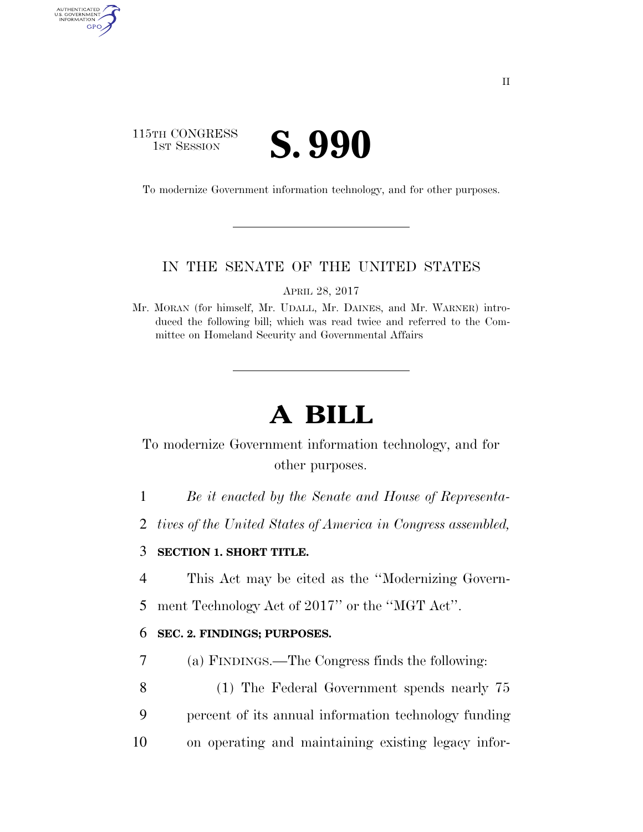### 115TH CONGRESS TH CONGRESS **S. 990**

AUTHENTICATED<br>U.S. GOVERNMENT<br>INFORMATION GPO

To modernize Government information technology, and for other purposes.

#### IN THE SENATE OF THE UNITED STATES

APRIL 28, 2017

Mr. MORAN (for himself, Mr. UDALL, Mr. DAINES, and Mr. WARNER) introduced the following bill; which was read twice and referred to the Committee on Homeland Security and Governmental Affairs

# **A BILL**

To modernize Government information technology, and for other purposes.

1 *Be it enacted by the Senate and House of Representa-*

2 *tives of the United States of America in Congress assembled,* 

#### 3 **SECTION 1. SHORT TITLE.**

4 This Act may be cited as the ''Modernizing Govern-

5 ment Technology Act of 2017'' or the ''MGT Act''.

#### 6 **SEC. 2. FINDINGS; PURPOSES.**

7 (a) FINDINGS.—The Congress finds the following:

8 (1) The Federal Government spends nearly 75 9 percent of its annual information technology funding 10 on operating and maintaining existing legacy infor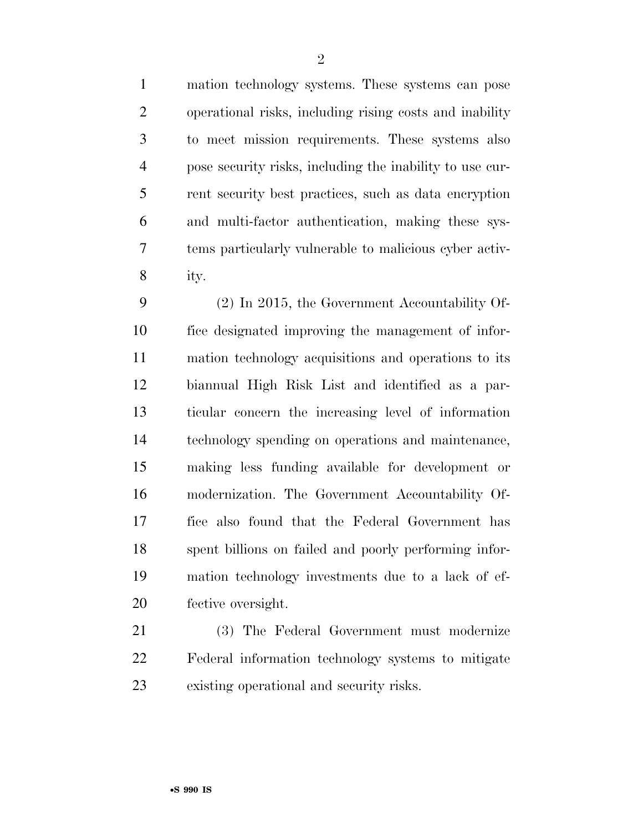mation technology systems. These systems can pose operational risks, including rising costs and inability to meet mission requirements. These systems also pose security risks, including the inability to use cur- rent security best practices, such as data encryption and multi-factor authentication, making these sys-

 tems particularly vulnerable to malicious cyber activ-ity.

 (2) In 2015, the Government Accountability Of- fice designated improving the management of infor- mation technology acquisitions and operations to its biannual High Risk List and identified as a par- ticular concern the increasing level of information technology spending on operations and maintenance, making less funding available for development or modernization. The Government Accountability Of- fice also found that the Federal Government has spent billions on failed and poorly performing infor- mation technology investments due to a lack of ef-fective oversight.

 (3) The Federal Government must modernize Federal information technology systems to mitigate existing operational and security risks.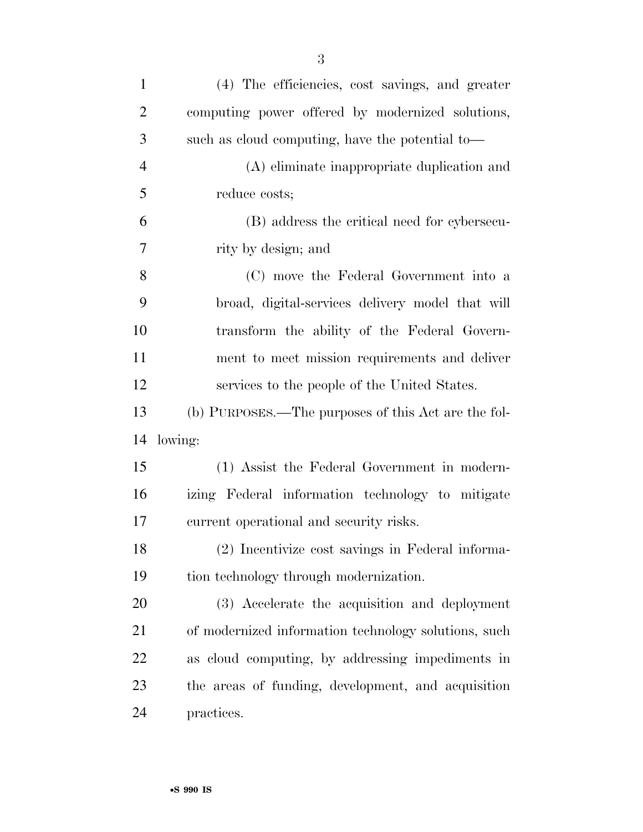| $\mathbf{1}$   | (4) The efficiencies, cost savings, and greater      |
|----------------|------------------------------------------------------|
| $\overline{2}$ | computing power offered by modernized solutions,     |
| 3              | such as cloud computing, have the potential to-      |
| $\overline{4}$ | (A) eliminate inappropriate duplication and          |
| 5              | reduce costs;                                        |
| 6              | (B) address the critical need for cybersecu-         |
| 7              | rity by design; and                                  |
| 8              | (C) move the Federal Government into a               |
| 9              | broad, digital-services delivery model that will     |
| 10             | transform the ability of the Federal Govern-         |
| 11             | ment to meet mission requirements and deliver        |
| 12             | services to the people of the United States.         |
| 13             | (b) PURPOSES.—The purposes of this Act are the fol-  |
|                | lowing:                                              |
| 14             |                                                      |
| 15             | (1) Assist the Federal Government in modern-         |
| 16             | izing Federal information technology to mitigate     |
| 17             | current operational and security risks.              |
| 18             | (2) Incentivize cost savings in Federal informa-     |
| 19             | tion technology through modernization.               |
| 20             | (3) Accelerate the acquisition and deployment        |
| 21             | of modernized information technology solutions, such |
| 22             | as cloud computing, by addressing impediments in     |
| 23             | the areas of funding, development, and acquisition   |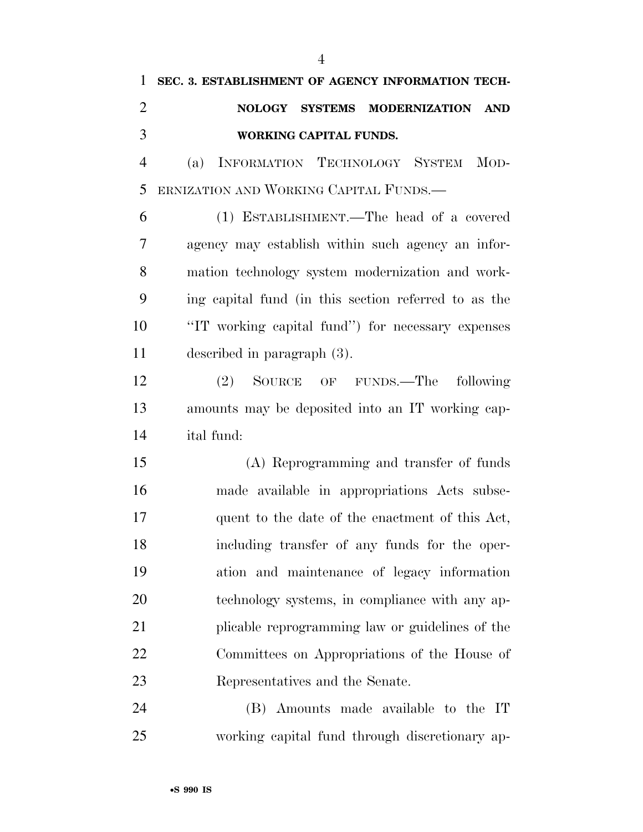## **SEC. 3. ESTABLISHMENT OF AGENCY INFORMATION TECH- NOLOGY SYSTEMS MODERNIZATION AND WORKING CAPITAL FUNDS.**

 (a) INFORMATION TECHNOLOGY SYSTEM MOD-ERNIZATION AND WORKING CAPITAL FUNDS.—

 (1) ESTABLISHMENT.—The head of a covered agency may establish within such agency an infor- mation technology system modernization and work- ing capital fund (in this section referred to as the ''IT working capital fund'') for necessary expenses described in paragraph (3).

 (2) SOURCE OF FUNDS.—The following amounts may be deposited into an IT working cap-ital fund:

 (A) Reprogramming and transfer of funds made available in appropriations Acts subse- quent to the date of the enactment of this Act, including transfer of any funds for the oper- ation and maintenance of legacy information technology systems, in compliance with any ap- plicable reprogramming law or guidelines of the Committees on Appropriations of the House of Representatives and the Senate.

 (B) Amounts made available to the IT working capital fund through discretionary ap-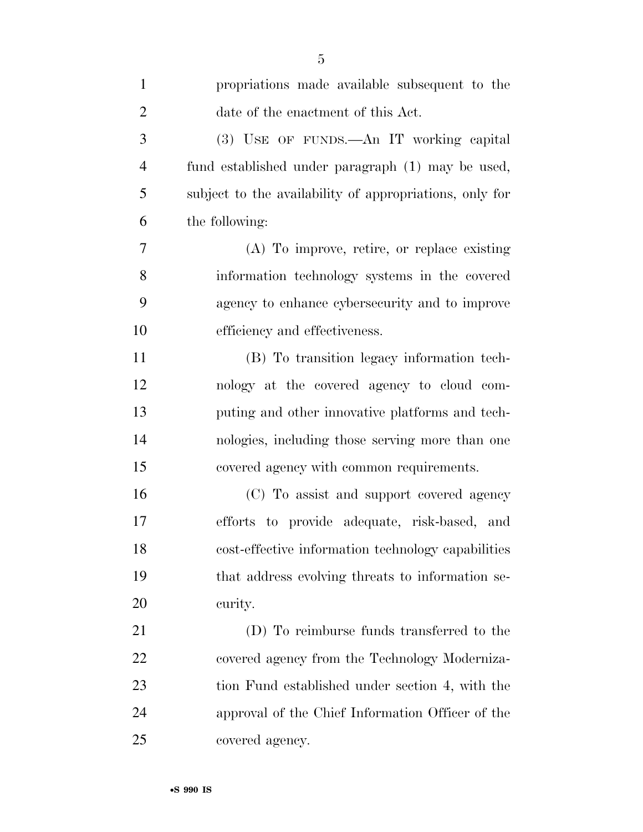| $\mathbf{1}$   | propriations made available subsequent to the           |
|----------------|---------------------------------------------------------|
| $\overline{2}$ | date of the enactment of this Act.                      |
| 3              | (3) USE OF FUNDS.—An IT working capital                 |
| $\overline{4}$ | fund established under paragraph (1) may be used,       |
| 5              | subject to the availability of appropriations, only for |
| 6              | the following:                                          |
| 7              | (A) To improve, retire, or replace existing             |
| 8              | information technology systems in the covered           |
| 9              | agency to enhance cybersecurity and to improve          |
| 10             | efficiency and effectiveness.                           |
| 11             | (B) To transition legacy information tech-              |
| 12             | nology at the covered agency to cloud com-              |
| 13             | puting and other innovative platforms and tech-         |
| 14             | nologies, including those serving more than one         |
| 15             | covered agency with common requirements.                |
| 16             | (C) To assist and support covered agency                |
| 17             | efforts to provide adequate, risk-based, and            |
| 18             | cost-effective information technology capabilities      |
| 19             | that address evolving threats to information se-        |
| 20             | curity.                                                 |
| 21             | (D) To reimburse funds transferred to the               |
| 22             | covered agency from the Technology Moderniza-           |
| 23             | tion Fund established under section 4, with the         |
| 24             | approval of the Chief Information Officer of the        |
| 25             | covered agency.                                         |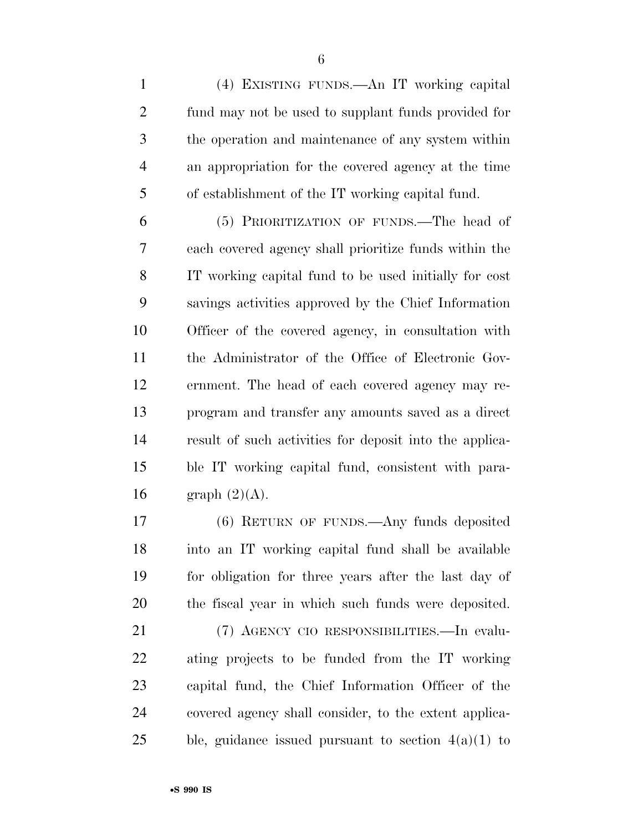(4) EXISTING FUNDS.—An IT working capital fund may not be used to supplant funds provided for the operation and maintenance of any system within an appropriation for the covered agency at the time of establishment of the IT working capital fund.

 (5) PRIORITIZATION OF FUNDS.—The head of each covered agency shall prioritize funds within the IT working capital fund to be used initially for cost savings activities approved by the Chief Information Officer of the covered agency, in consultation with the Administrator of the Office of Electronic Gov- ernment. The head of each covered agency may re- program and transfer any amounts saved as a direct result of such activities for deposit into the applica- ble IT working capital fund, consistent with para-16 graph  $(2)(A)$ .

 (6) RETURN OF FUNDS.—Any funds deposited into an IT working capital fund shall be available for obligation for three years after the last day of the fiscal year in which such funds were deposited.

 (7) AGENCY CIO RESPONSIBILITIES.—In evalu- ating projects to be funded from the IT working capital fund, the Chief Information Officer of the covered agency shall consider, to the extent applica-25 ble, guidance issued pursuant to section  $4(a)(1)$  to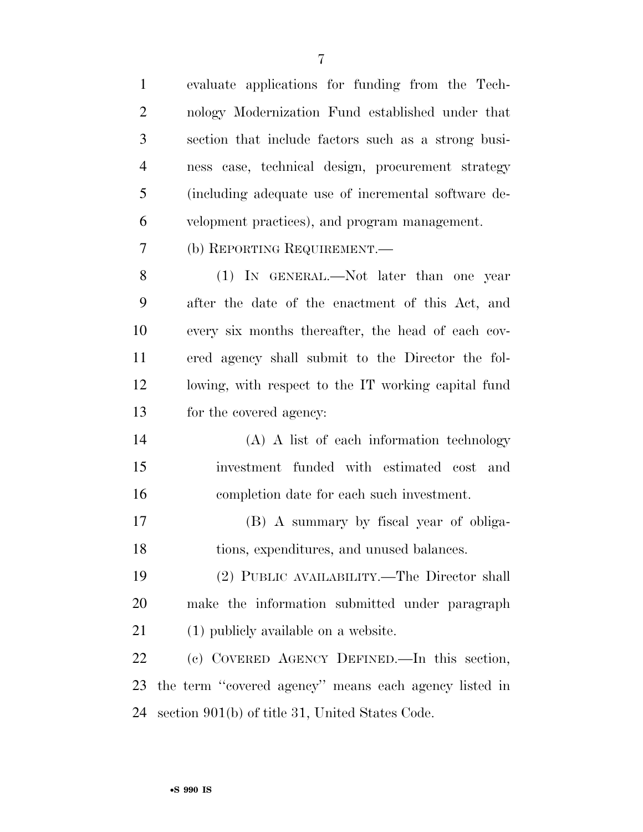evaluate applications for funding from the Tech- nology Modernization Fund established under that section that include factors such as a strong busi- ness case, technical design, procurement strategy (including adequate use of incremental software de- velopment practices), and program management. (b) REPORTING REQUIREMENT.— (1) IN GENERAL.—Not later than one year after the date of the enactment of this Act, and every six months thereafter, the head of each cov- ered agency shall submit to the Director the fol- lowing, with respect to the IT working capital fund for the covered agency: (A) A list of each information technology investment funded with estimated cost and completion date for each such investment. (B) A summary by fiscal year of obliga- tions, expenditures, and unused balances. (2) PUBLIC AVAILABILITY.—The Director shall make the information submitted under paragraph 21 (1) publicly available on a website. (c) COVERED AGENCY DEFINED.—In this section, the term ''covered agency'' means each agency listed in section 901(b) of title 31, United States Code.

•**S 990 IS**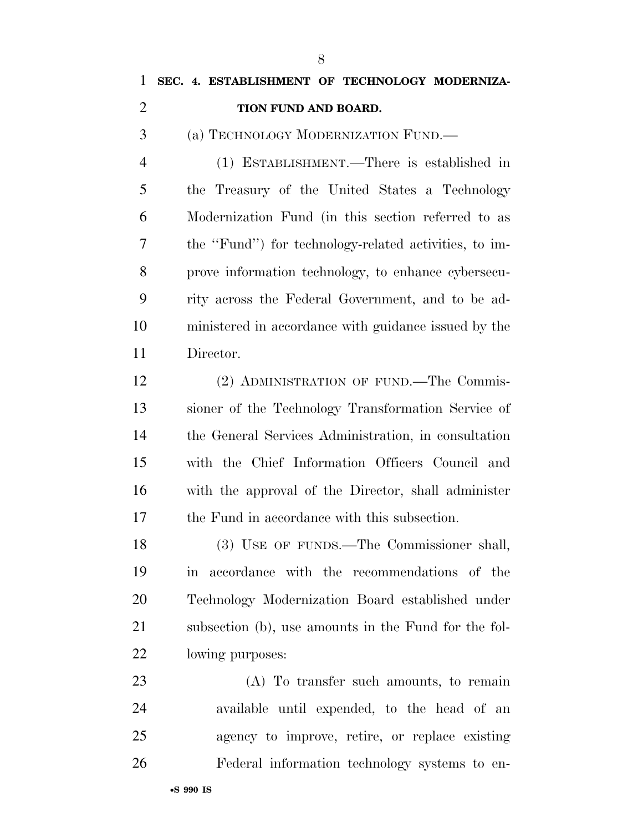| $\mathbf{1}$   | SEC. 4. ESTABLISHMENT OF TECHNOLOGY MODERNIZA-                    |
|----------------|-------------------------------------------------------------------|
| $\overline{c}$ | TION FUND AND BOARD.                                              |
| 3              | (a) TECHNOLOGY MODERNIZATION FUND.—                               |
| $\overline{4}$ | (1) ESTABLISHMENT.—There is established in                        |
| 5              | the Treasury of the United States a Technology                    |
| 6              | Modernization Fund (in this section referred to as                |
| 7              | the "Fund") for technology-related activities, to im-             |
| 8              | prove information technology, to enhance cybersecu-               |
| 9              | rity across the Federal Government, and to be ad-                 |
| 10             | ministered in accordance with guidance issued by the              |
| 11             | Director.                                                         |
| 12             | (2) ADMINISTRATION OF FUND.—The Commis-                           |
| 13             | sioner of the Technology Transformation Service of                |
| 14             | the General Services Administration, in consultation              |
| 15             | with the Chief Information Officers Council and                   |
| 16             | with the approval of the Director, shall administer               |
| 17             | the Fund in accordance with this subsection.                      |
| 18             | (3) USE OF FUNDS.—The Commissioner shall,                         |
| 19             | accordance with the recommendations of the<br>$\operatorname{in}$ |
| 20             | Technology Modernization Board established under                  |
| 21             | subsection (b), use amounts in the Fund for the fol-              |
| <u>22</u>      | lowing purposes:                                                  |
| 23             | (A) To transfer such amounts, to remain                           |
| 24             | available until expended, to the head of an                       |
| 25             | agency to improve, retire, or replace existing                    |
| 26             | Federal information technology systems to en-                     |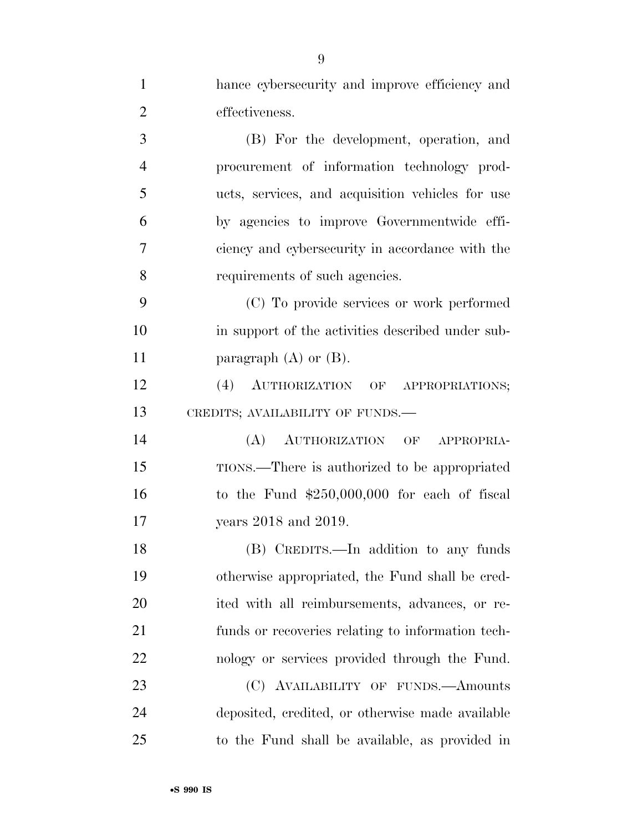| $\mathbf{1}$   | hance cybersecurity and improve efficiency and    |
|----------------|---------------------------------------------------|
| $\overline{2}$ | effectiveness.                                    |
| 3              | (B) For the development, operation, and           |
| $\overline{4}$ | procurement of information technology prod-       |
| 5              | ucts, services, and acquisition vehicles for use  |
| 6              | by agencies to improve Governmentwide effi-       |
| 7              | ciency and cybersecurity in accordance with the   |
| 8              | requirements of such agencies.                    |
| 9              | (C) To provide services or work performed         |
| 10             | in support of the activities described under sub- |
| 11             | paragraph $(A)$ or $(B)$ .                        |
| 12             | (4) AUTHORIZATION OF APPROPRIATIONS;              |
| 13             | CREDITS; AVAILABILITY OF FUNDS.-                  |
| 14             | (A)<br>AUTHORIZATION OF APPROPRIA-                |
| 15             | TIONS.—There is authorized to be appropriated     |
| 16             | to the Fund $$250,000,000$ for each of fiscal     |
| 17             | years 2018 and 2019.                              |
| 18             | (B) CREDITS.—In addition to any funds             |
| 19             | otherwise appropriated, the Fund shall be cred-   |
| 20             | ited with all reimbursements, advances, or re-    |
| 21             | funds or recoveries relating to information tech- |
| 22             | nology or services provided through the Fund.     |
| 23             | (C) AVAILABILITY OF FUNDS.—Amounts                |
| 24             | deposited, credited, or otherwise made available  |
| 25             | to the Fund shall be available, as provided in    |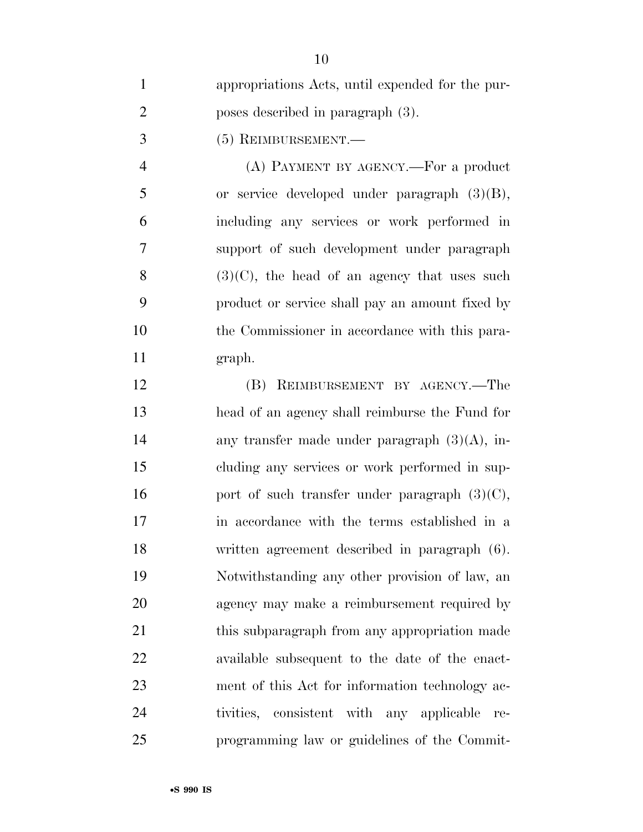| $\mathbf{1}$   | appropriations Acts, until expended for the pur- |
|----------------|--------------------------------------------------|
| $\overline{2}$ | poses described in paragraph (3).                |
| 3              | (5) REIMBURSEMENT.-                              |
| $\overline{4}$ | (A) PAYMENT BY AGENCY.—For a product             |
| 5              | or service developed under paragraph $(3)(B)$ ,  |
| 6              | including any services or work performed in      |
| $\tau$         | support of such development under paragraph      |
| 8              | $(3)(C)$ , the head of an agency that uses such  |
| 9              | product or service shall pay an amount fixed by  |
| 10             | the Commissioner in accordance with this para-   |
| 11             | graph.                                           |
| 12             | (B) REIMBURSEMENT BY AGENCY.—The                 |
| 13             | head of an agency shall reimburse the Fund for   |
| 14             | any transfer made under paragraph $(3)(A)$ , in- |
| 15             | cluding any services or work performed in sup-   |
| 16             | port of such transfer under paragraph $(3)(C)$ , |
| 17             | in accordance with the terms established in a    |
| 18             | written agreement described in paragraph (6).    |
| 19             | Notwithstanding any other provision of law, an   |
| 20             | agency may make a reimbursement required by      |
| 21             | this subparagraph from any appropriation made    |
| 22             | available subsequent to the date of the enact-   |
| 23             | ment of this Act for information technology ac-  |
| 24             | tivities, consistent with any applicable<br>re-  |
| 25             | programming law or guidelines of the Commit-     |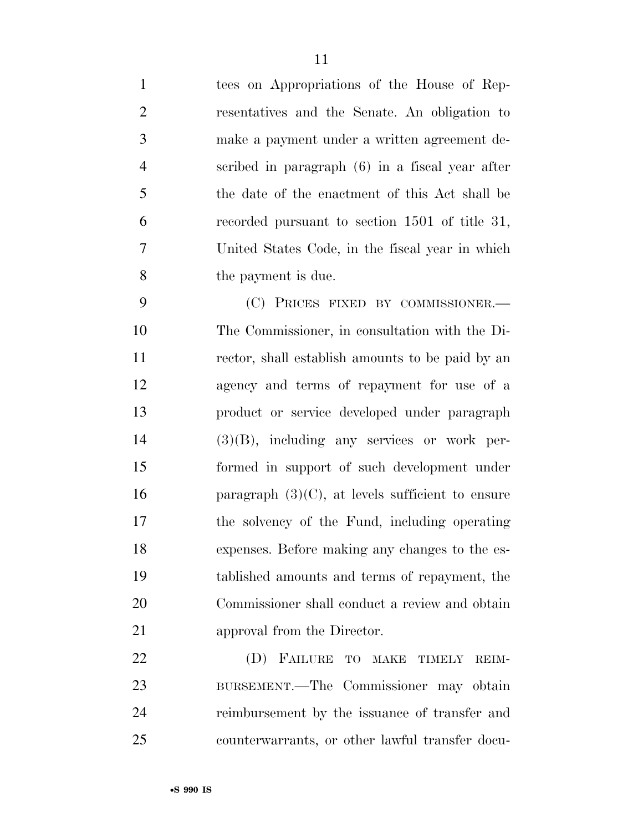tees on Appropriations of the House of Rep- resentatives and the Senate. An obligation to make a payment under a written agreement de- scribed in paragraph (6) in a fiscal year after the date of the enactment of this Act shall be recorded pursuant to section 1501 of title 31, United States Code, in the fiscal year in which the payment is due.

 (C) PRICES FIXED BY COMMISSIONER.— The Commissioner, in consultation with the Di- rector, shall establish amounts to be paid by an agency and terms of repayment for use of a product or service developed under paragraph (3)(B), including any services or work per- formed in support of such development under 16 paragraph  $(3)(C)$ , at levels sufficient to ensure the solvency of the Fund, including operating expenses. Before making any changes to the es- tablished amounts and terms of repayment, the Commissioner shall conduct a review and obtain 21 approval from the Director.

 (D) FAILURE TO MAKE TIMELY REIM- BURSEMENT.—The Commissioner may obtain reimbursement by the issuance of transfer and counterwarrants, or other lawful transfer docu-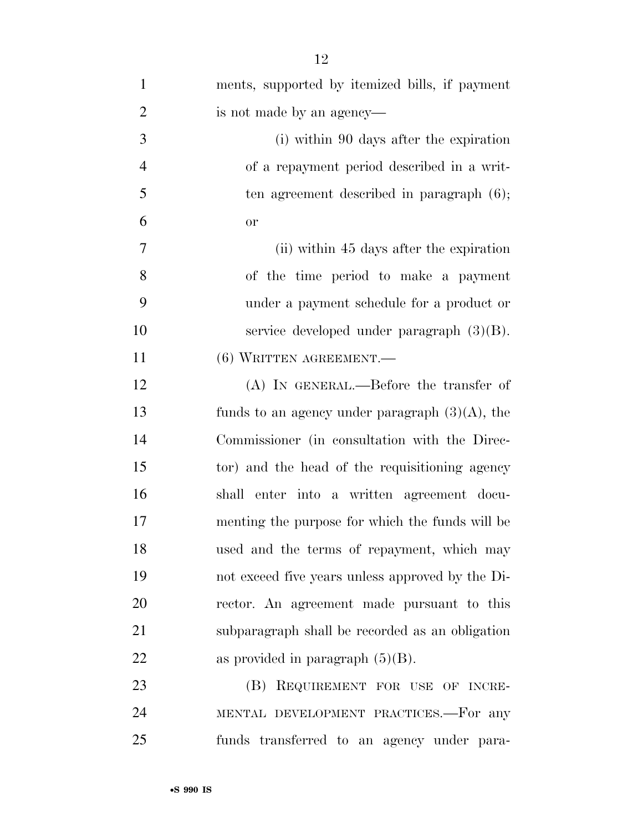| $\mathbf{1}$     | ments, supported by itemized bills, if payment    |
|------------------|---------------------------------------------------|
| $\overline{2}$   | is not made by an agency—                         |
| 3                | (i) within 90 days after the expiration           |
| $\overline{4}$   | of a repayment period described in a writ-        |
| 5                | ten agreement described in paragraph $(6)$ ;      |
| 6                | <b>or</b>                                         |
| $\boldsymbol{7}$ | (ii) within 45 days after the expiration          |
| 8                | of the time period to make a payment              |
| 9                | under a payment schedule for a product or         |
| 10               | service developed under paragraph $(3)(B)$ .      |
| 11               | $(6)$ WRITTEN AGREEMENT.                          |
| 12               | $(A)$ In GENERAL.—Before the transfer of          |
| 13               | funds to an agency under paragraph $(3)(A)$ , the |
| 14               | Commissioner (in consultation with the Direc-     |
| 15               | tor) and the head of the requisitioning agency    |
| 16               | shall enter into a written agreement docu-        |
| 17               | menting the purpose for which the funds will be   |
| 18               | used and the terms of repayment, which may        |
| 19               | not exceed five years unless approved by the Di-  |
| 20               | rector. An agreement made pursuant to this        |
| 21               | subparagraph shall be recorded as an obligation   |
| 22               | as provided in paragraph $(5)(B)$ .               |
| 23               | REQUIREMENT FOR USE OF INCRE-<br>(B)              |
| 24               | MENTAL DEVELOPMENT PRACTICES.-For any             |
| 25               | funds transferred to an agency under para-        |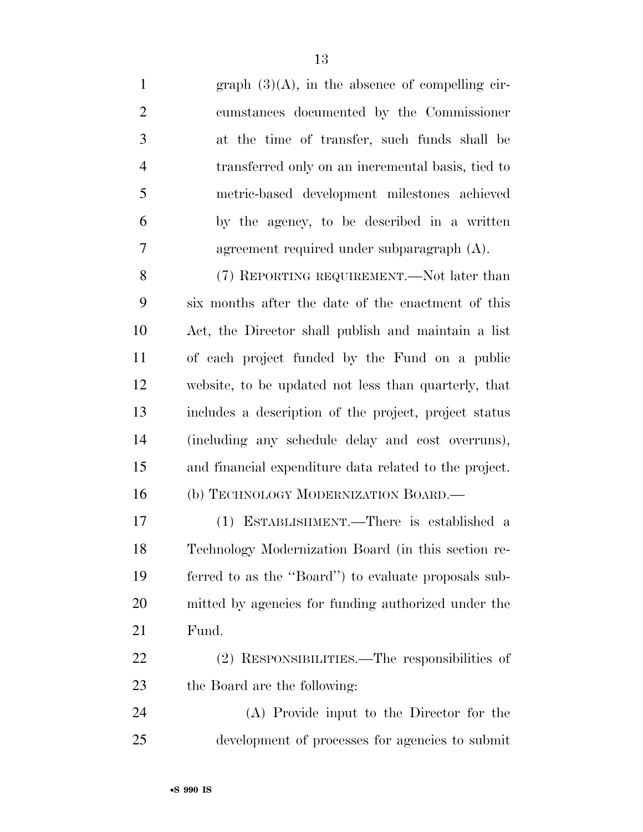1 graph  $(3)(A)$ , in the absence of compelling cir- cumstances documented by the Commissioner at the time of transfer, such funds shall be transferred only on an incremental basis, tied to metric-based development milestones achieved by the agency, to be described in a written agreement required under subparagraph (A). 8 (7) REPORTING REQUIREMENT.—Not later than

 six months after the date of the enactment of this Act, the Director shall publish and maintain a list of each project funded by the Fund on a public website, to be updated not less than quarterly, that includes a description of the project, project status (including any schedule delay and cost overruns), and financial expenditure data related to the project. 16 (b) TECHNOLOGY MODERNIZATION BOARD.—

 (1) ESTABLISHMENT.—There is established a Technology Modernization Board (in this section re- ferred to as the ''Board'') to evaluate proposals sub- mitted by agencies for funding authorized under the Fund.

 (2) RESPONSIBILITIES.—The responsibilities of the Board are the following:

 (A) Provide input to the Director for the development of processes for agencies to submit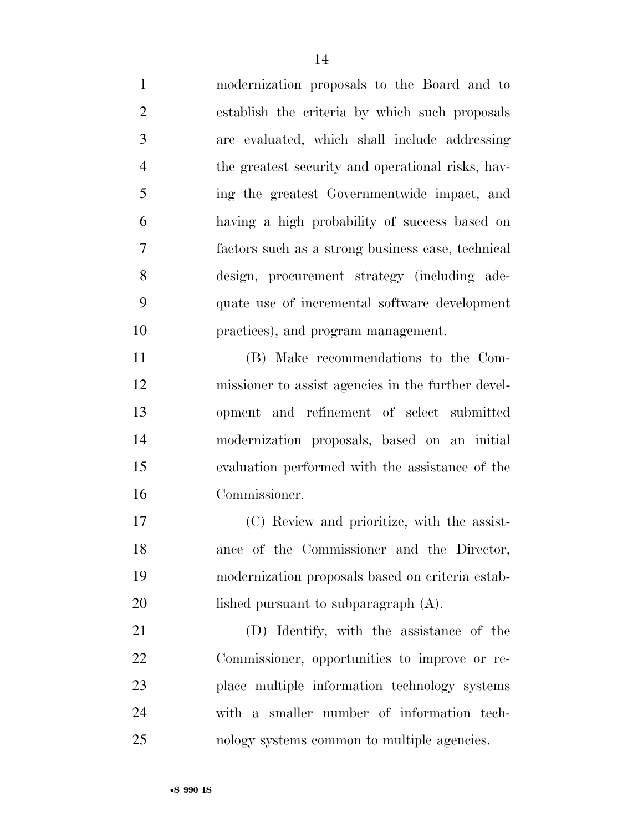modernization proposals to the Board and to establish the criteria by which such proposals are evaluated, which shall include addressing the greatest security and operational risks, hav- ing the greatest Governmentwide impact, and having a high probability of success based on factors such as a strong business case, technical design, procurement strategy (including ade- quate use of incremental software development practices), and program management. (B) Make recommendations to the Com- missioner to assist agencies in the further devel- opment and refinement of select submitted modernization proposals, based on an initial evaluation performed with the assistance of the

 (C) Review and prioritize, with the assist- ance of the Commissioner and the Director, modernization proposals based on criteria estab-20 lished pursuant to subparagraph  $(A)$ .

 (D) Identify, with the assistance of the Commissioner, opportunities to improve or re- place multiple information technology systems with a smaller number of information tech-nology systems common to multiple agencies.

Commissioner.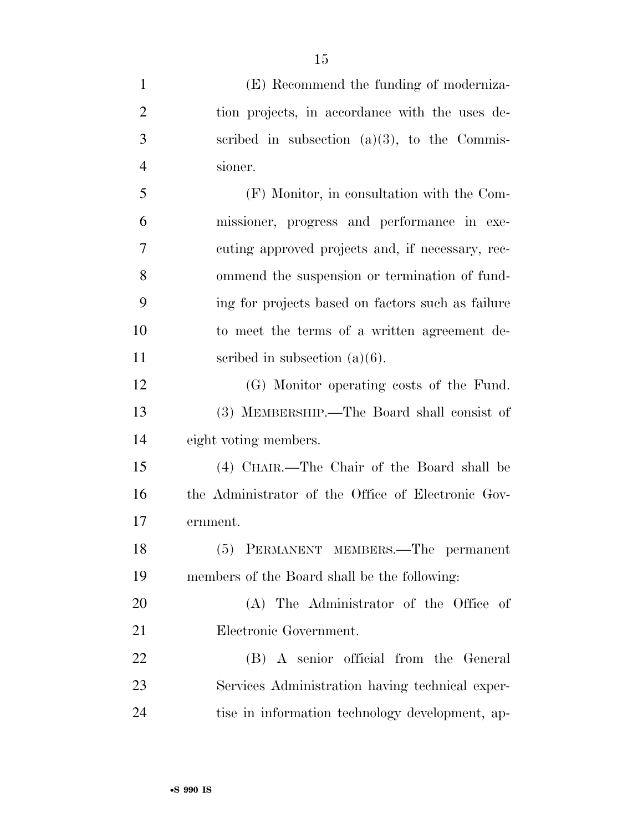| $\mathbf{1}$   | (E) Recommend the funding of moderniza-            |
|----------------|----------------------------------------------------|
| $\overline{2}$ | tion projects, in accordance with the uses de-     |
| 3              | scribed in subsection $(a)(3)$ , to the Commis-    |
| $\overline{4}$ | sioner.                                            |
| 5              | (F) Monitor, in consultation with the Com-         |
| 6              | missioner, progress and performance in exe-        |
| 7              | cuting approved projects and, if necessary, rec-   |
| 8              | ommend the suspension or termination of fund-      |
| 9              | ing for projects based on factors such as failure  |
| 10             | to meet the terms of a written agreement de-       |
| 11             | scribed in subsection $(a)(6)$ .                   |
| 12             | (G) Monitor operating costs of the Fund.           |
| 13             | (3) MEMBERSHIP.—The Board shall consist of         |
| 14             | eight voting members.                              |
| 15             | (4) CHAIR.—The Chair of the Board shall be         |
| 16             | the Administrator of the Office of Electronic Gov- |
| 17             | ernment.                                           |
| 18             | (5) PERMANENT MEMBERS.—The permanent               |
| 19             | members of the Board shall be the following:       |
| 20             | (A) The Administrator of the Office of             |
| 21             | Electronic Government.                             |
| 22             | (B) A senior official from the General             |
| 23             | Services Administration having technical exper-    |
| 24             | tise in information technology development, ap-    |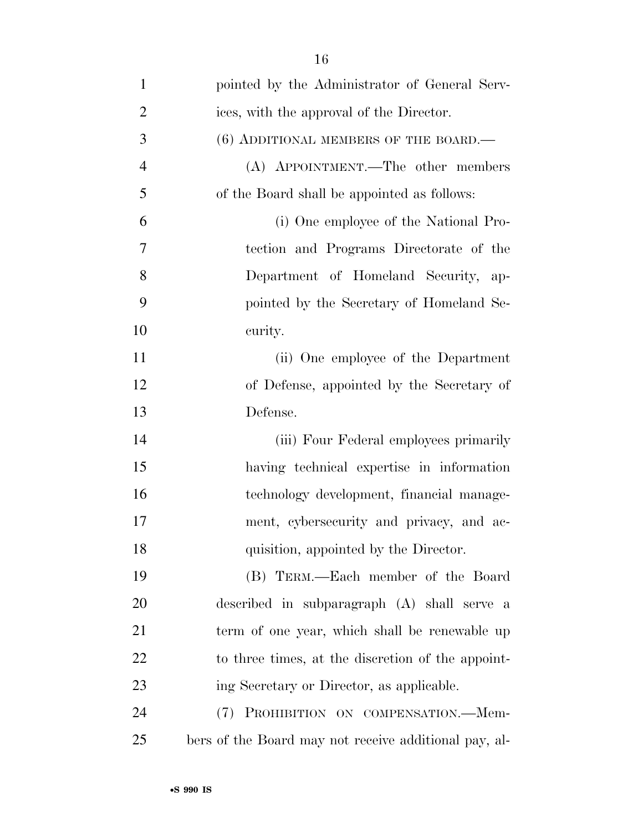| $\mathbf{1}$   | pointed by the Administrator of General Serv-         |
|----------------|-------------------------------------------------------|
| $\overline{2}$ | ices, with the approval of the Director.              |
| 3              | $(6)$ ADDITIONAL MEMBERS OF THE BOARD.—               |
| $\overline{4}$ | (A) APPOINTMENT.—The other members                    |
| 5              | of the Board shall be appointed as follows:           |
| 6              | (i) One employee of the National Pro-                 |
| 7              | tection and Programs Directorate of the               |
| 8              | Department of Homeland Security,<br>ap-               |
| 9              | pointed by the Secretary of Homeland Se-              |
| 10             | curity.                                               |
| 11             | (ii) One employee of the Department                   |
| 12             | of Defense, appointed by the Secretary of             |
| 13             | Defense.                                              |
| 14             | (iii) Four Federal employees primarily                |
| 15             | having technical expertise in information             |
| 16             | technology development, financial manage-             |
| 17             | ment, cybersecurity and privacy, and ac-              |
| 18             | quisition, appointed by the Director.                 |
| 19             | (B) TERM.—Each member of the Board                    |
| 20             | described in subparagraph (A) shall serve a           |
| 21             | term of one year, which shall be renewable up         |
| 22             | to three times, at the discretion of the appoint-     |
| 23             | ing Secretary or Director, as applicable.             |
| 24             | (7) PROHIBITION ON COMPENSATION.—Mem-                 |
| 25             | bers of the Board may not receive additional pay, al- |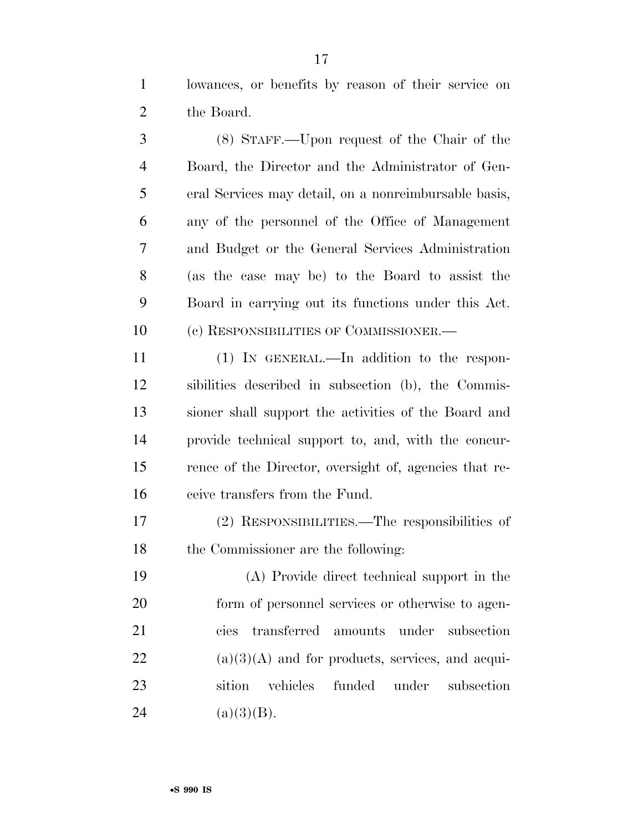lowances, or benefits by reason of their service on the Board.

 (8) STAFF.—Upon request of the Chair of the Board, the Director and the Administrator of Gen- eral Services may detail, on a nonreimbursable basis, any of the personnel of the Office of Management and Budget or the General Services Administration (as the case may be) to the Board to assist the Board in carrying out its functions under this Act. (c) RESPONSIBILITIES OF COMMISSIONER.—

 (1) IN GENERAL.—In addition to the respon- sibilities described in subsection (b), the Commis- sioner shall support the activities of the Board and provide technical support to, and, with the concur- rence of the Director, oversight of, agencies that re-ceive transfers from the Fund.

 (2) RESPONSIBILITIES.—The responsibilities of the Commissioner are the following:

 (A) Provide direct technical support in the form of personnel services or otherwise to agen- cies transferred amounts under subsection (a)(3)(A) and for products, services, and acqui- sition vehicles funded under subsection 24 (a)(3)(B).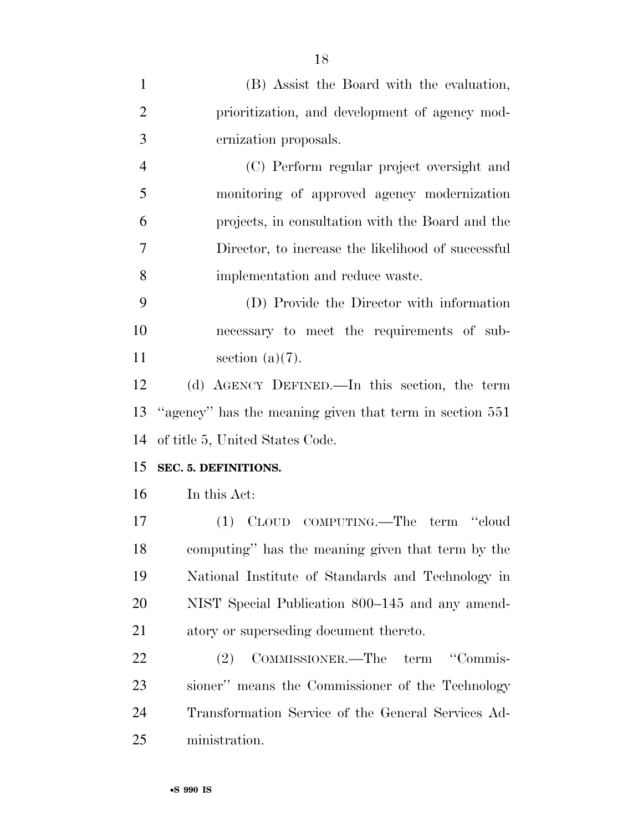| $\mathbf{1}$   | (B) Assist the Board with the evaluation,               |
|----------------|---------------------------------------------------------|
| $\overline{2}$ | prioritization, and development of agency mod-          |
| 3              | ernization proposals.                                   |
| $\overline{4}$ | (C) Perform regular project oversight and               |
| 5              | monitoring of approved agency modernization             |
| 6              | projects, in consultation with the Board and the        |
| 7              | Director, to increase the likelihood of successful      |
| 8              | implementation and reduce waste.                        |
| 9              | (D) Provide the Director with information               |
| 10             | necessary to meet the requirements of sub-              |
| 11             | section $(a)(7)$ .                                      |
| 12             | (d) AGENCY DEFINED.—In this section, the term           |
| 13             | "agency" has the meaning given that term in section 551 |
| 14             | of title 5, United States Code.                         |
| 15             | SEC. 5. DEFINITIONS.                                    |
| 16             | In this Act:                                            |
| 17             | (1) CLOUD COMPUTING.—The term "cloud                    |
| 18             | computing" has the meaning given that term by the       |
| 19             | National Institute of Standards and Technology in       |
| 20             | NIST Special Publication 800–145 and any amend-         |
| 21             | atory or superseding document thereto.                  |
| 22             | "Commis-<br>COMMISSIONER.—The<br>term<br>(2)            |
| 23             | sioner" means the Commissioner of the Technology        |
| 24             | Transformation Service of the General Services Ad-      |
| 25             | ministration.                                           |